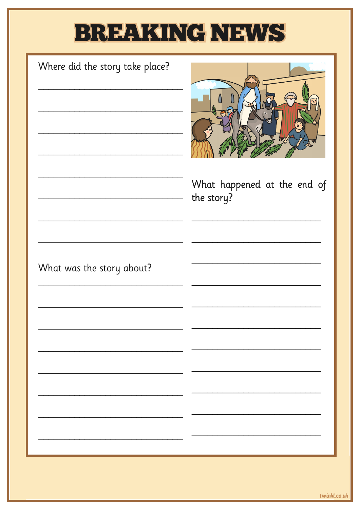## BREAKING NEWS

| Where did the story take place? | What happened at the end of<br>the story? |
|---------------------------------|-------------------------------------------|
| What was the story about?       |                                           |
|                                 |                                           |
|                                 |                                           |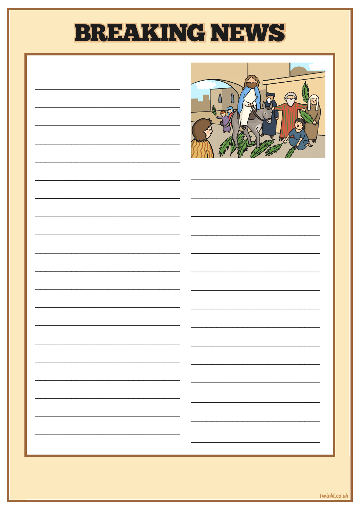## **BREAKING NEWS**